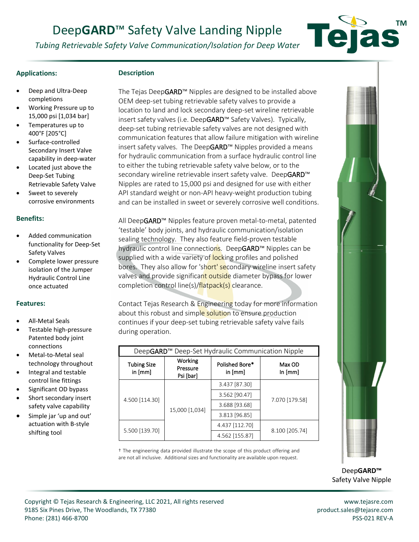# Deep**GARD**™ Safety Valve Landing Nipple

*Tubing Retrievable Safety Valve Communication/Isolation for Deep Water*

## **Applications:**

## **Description**

- Deep and Ultra-Deep completions
- Working Pressure up to 15,000 psi [1,034 bar]
- Temperatures up to 400°F [205°C]
- Surface-controlled Secondary Insert Valve capability in deep-water
- Located just above the Deep-Set Tubing Retrievable Safety Valve
- Sweet to severely corrosive environments

### **Benefits:**

- Added communication functionality for Deep-Set Safety Valves
- Complete lower pressure isolation of the Jumper Hydraulic Control Line once actuated

#### **Features:**

- All-Metal Seals
- Testable high-pressure Patented body joint connections
- Metal-to-Metal seal technology throughout
- Integral and testable control line fittings
- Significant OD bypass
- Short secondary insert safety valve capability
- Simple jar 'up and out' actuation with B-style shifting tool

The Tejas DeepGARD™ Nipples are designed to be installed above OEM deep-set tubing retrievable safety valves to provide a location to land and lock secondary deep-set wireline retrievable insert safety valves (i.e. DeepGARD™ Safety Valves). Typically, deep-set tubing retrievable safety valves are not designed with communication features that allow failure mitigation with wireline insert safety valves. The DeepGARD™ Nipples provided a means for hydraulic communication from a surface hydraulic control line to either the tubing retrievable safety valve below, or to the secondary wireline retrievable insert safety valve. DeepGARD<sup>™</sup> Nipples are rated to 15,000 psi and designed for use with either API standard weight or non-API heavy-weight production tubing and can be installed in sweet or severely corrosive well conditions.

All DeepGARD™ Nipples feature proven metal-to-metal, patented 'testable' body joints, and hydraulic communication/isolation sealing technology. They also feature field-proven testable hydraulic control line connections. DeepGARD™ Nipples can be supplied with a wide variety of locking profiles and polished bores. They also allow for 'short' secondary wireline insert safety valves and provide significant outside diameter bypass for lower completion control line(s)/flatpack(s) clearance.

Contact Tejas Research & Engineering today for more information about this robust and simple solution to ensure production continues if your deep-set tubing retrievable safety valve fails during operation.

| DeepGARD <sup>™</sup> Deep-Set Hydraulic Communication Nipple |                                  |                           |                     |
|---------------------------------------------------------------|----------------------------------|---------------------------|---------------------|
| <b>Tubing Size</b><br>in [mm]                                 | Working<br>Pressure<br>Psi [bar] | Polished Bore*<br>in [mm] | Max OD<br>In $[mm]$ |
| 4.500 [114.30]                                                | 15,000 [1,034]                   | 3.437 [87.30]             | 7.070 [179.58]      |
|                                                               |                                  | 3.562 [90.47]             |                     |
|                                                               |                                  | 3.688 [93.68]             |                     |
|                                                               |                                  | 3.813 [96.85]             |                     |
| 5.500 [139.70]                                                |                                  | 4.437 [112.70]            | 8.100 [205.74]      |
|                                                               |                                  | 4.562 [155.87]            |                     |

† The engineering data provided illustrate the scope of this product offering and are not all inclusive. Additional sizes and functionality are available upon request.



Deep**GARD™**  Safety Valve Nipple